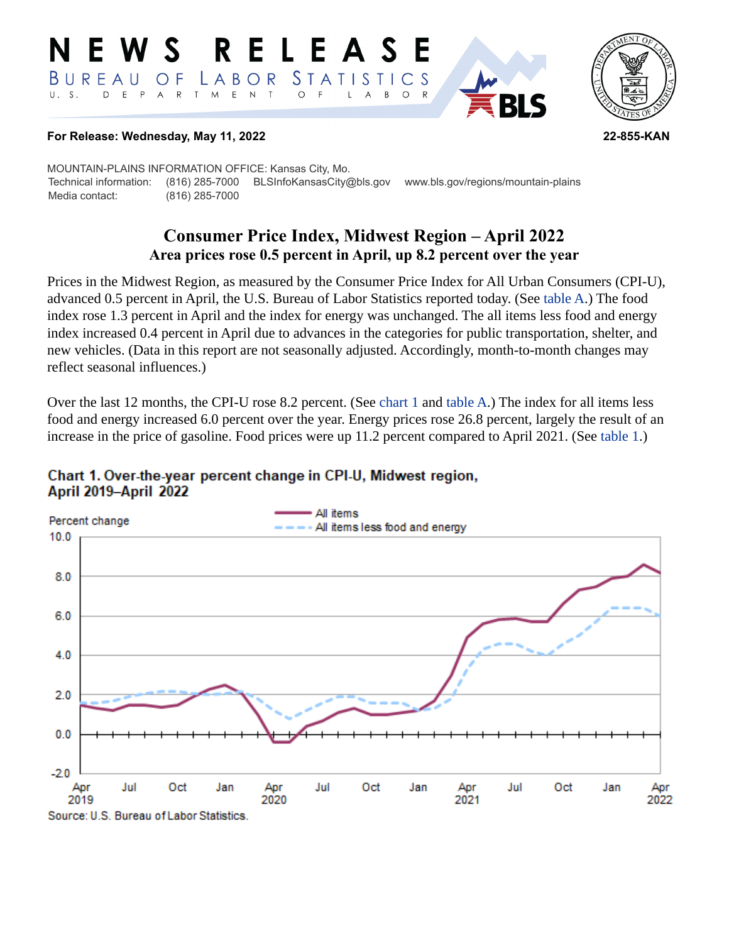#### RELEASE E W S *STATISTICS* LABOR BUREAU  $\overline{O}$  F D E P  $\mathsf{R}$ T M  $E$  N  $\top$  $U. S.$  $A$  $\circ$  $\overline{\mathsf{A}}$  $B$  $\circ$  $\mathsf{L}$



#### **For Release: Wednesday, May 11, 2022 22-855-KAN**

MOUNTAIN-PLAINS INFORMATION OFFICE: Kansas City, Mo. Technical information: (816) 285-7000 BLSInfoKansasCity@bls.gov www.bls.gov/regions/mountain-plains Media contact: (816) 285-7000

# **Consumer Price Index, Midwest Region – April 2022 Area prices rose 0.5 percent in April, up 8.2 percent over the year**

Prices in the Midwest Region, as measured by the Consumer Price Index for All Urban Consumers (CPI-U), advanced 0.5 percent in April, the U.S. Bureau of Labor Statistics reported today. (See [table A](#page-1-0).) The food index rose 1.3 percent in April and the index for energy was unchanged. The all items less food and energy index increased 0.4 percent in April due to advances in the categories for public transportation, shelter, and new vehicles. (Data in this report are not seasonally adjusted. Accordingly, month-to-month changes may reflect seasonal influences.)

Over the last 12 months, the CPI-U rose 8.2 percent. (See [chart 1](#page-0-0) and [table A](#page-1-0).) The index for all items less food and energy increased 6.0 percent over the year. Energy prices rose 26.8 percent, largely the result of an increase in the price of gasoline. Food prices were up 11.2 percent compared to April 2021. (See [table 1](#page-3-0).)

<span id="page-0-0"></span>

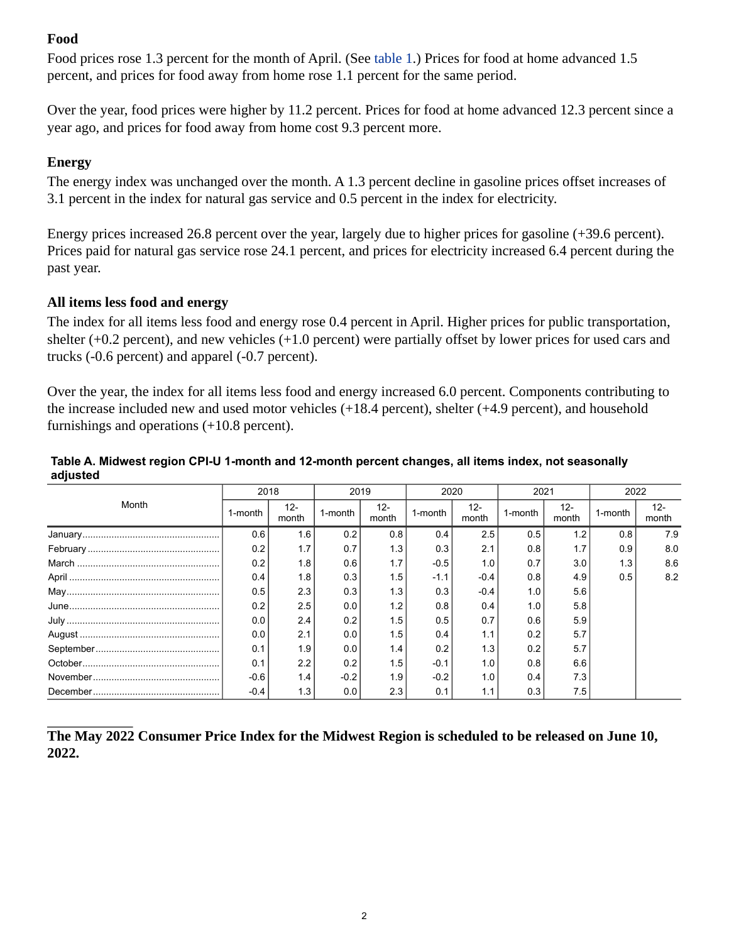## **Food**

Food prices rose 1.3 percent for the month of April. (See [table 1.](#page-3-0)) Prices for food at home advanced 1.5 percent, and prices for food away from home rose 1.1 percent for the same period.

Over the year, food prices were higher by 11.2 percent. Prices for food at home advanced 12.3 percent since a year ago, and prices for food away from home cost 9.3 percent more.

## **Energy**

The energy index was unchanged over the month. A 1.3 percent decline in gasoline prices offset increases of 3.1 percent in the index for natural gas service and 0.5 percent in the index for electricity.

Energy prices increased 26.8 percent over the year, largely due to higher prices for gasoline (+39.6 percent). Prices paid for natural gas service rose 24.1 percent, and prices for electricity increased 6.4 percent during the past year.

## **All items less food and energy**

The index for all items less food and energy rose 0.4 percent in April. Higher prices for public transportation, shelter (+0.2 percent), and new vehicles (+1.0 percent) were partially offset by lower prices for used cars and trucks (-0.6 percent) and apparel (-0.7 percent).

Over the year, the index for all items less food and energy increased 6.0 percent. Components contributing to the increase included new and used motor vehicles (+18.4 percent), shelter (+4.9 percent), and household furnishings and operations (+10.8 percent).

| Month | 2018    |                 | 2019    |                 | 2020    |                 | 2021    |                 | 2022    |                 |
|-------|---------|-----------------|---------|-----------------|---------|-----------------|---------|-----------------|---------|-----------------|
|       | 1-month | $12 -$<br>month | 1-month | $12 -$<br>month | 1-month | $12 -$<br>month | 1-month | $12 -$<br>month | 1-month | $12 -$<br>month |
|       | 0.6     | 1.6             | 0.2     | 0.8             | 0.4     | 2.5             | 0.5     | 1.2             | 0.8     | 7.9             |
|       | 0.2     | 1.7             | 0.7     | 1.3             | 0.3     | 2.1             | 0.8     | 1.7             | 0.9     | 8.0             |
|       | 0.2     | 1.8             | 0.6     | 1.7             | $-0.5$  | 1.0             | 0.7     | 3.0             | 1.3     | 8.6             |
|       | 0.4     | 1.8             | 0.3     | 1.5             | $-1.1$  | $-0.4$          | 0.8     | 4.9             | 0.5     | 8.2             |
|       | 0.5     | 2.3             | 0.3     | 1.3             | 0.3     | $-0.4$          | 1.0     | 5.6             |         |                 |
|       | 0.2     | 2.5             | 0.0     | 1.2             | 0.8     | 0.4             | 1.0     | 5.8             |         |                 |
|       | 0.0     | 2.4             | 0.2     | 1.5             | 0.5     | 0.7             | 0.6     | 5.9             |         |                 |
|       | 0.0     | 2.1             | 0.0     | 1.5             | 0.4     | 1.1             | 0.2     | 5.7             |         |                 |
|       | 0.1     | 1.9             | 0.0     | 1.4             | 0.2     | 1.3             | 0.2     | 5.7             |         |                 |
|       | 0.1     | 2.2             | 0.2     | 1.5             | $-0.1$  | 1.0             | 0.8     | 6.6             |         |                 |
|       | $-0.6$  | 1.4             | $-0.2$  | 1.9             | $-0.2$  | 1.0             | 0.4     | 7.3             |         |                 |
|       | $-0.4$  | 1.3             | 0.0     | 2.3             | 0.1     | 1.1             | 0.3     | 7.5             |         |                 |

### <span id="page-1-0"></span>**Table A. Midwest region CPI-U 1-month and 12-month percent changes, all items index, not seasonally adjusted**

**The May 2022 Consumer Price Index for the Midwest Region is scheduled to be released on June 10, 2022.**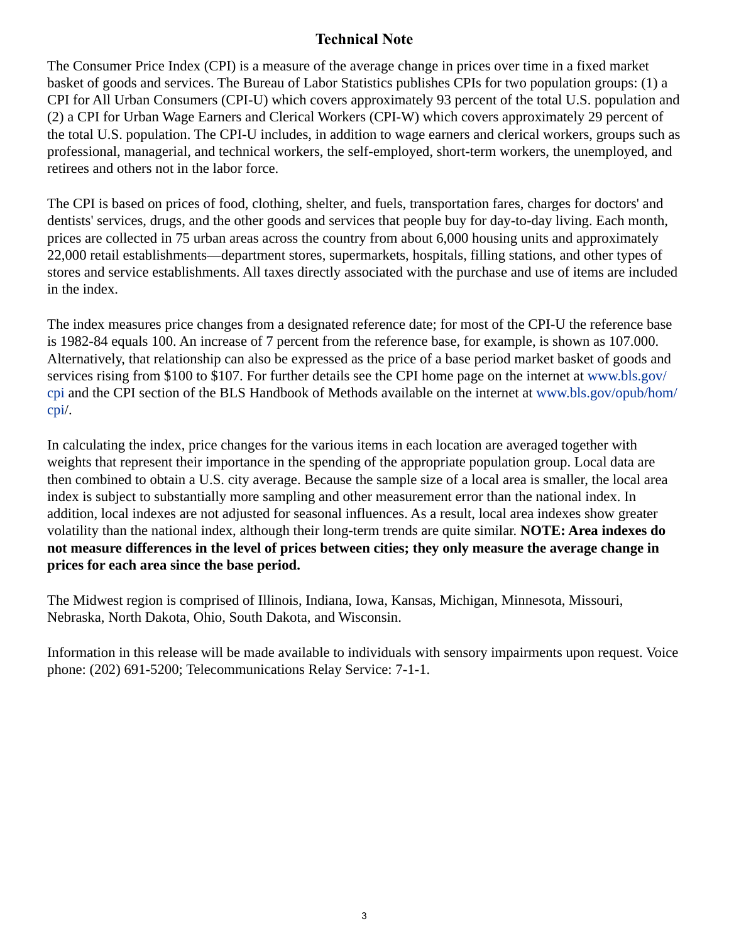## **Technical Note**

The Consumer Price Index (CPI) is a measure of the average change in prices over time in a fixed market basket of goods and services. The Bureau of Labor Statistics publishes CPIs for two population groups: (1) a CPI for All Urban Consumers (CPI-U) which covers approximately 93 percent of the total U.S. population and (2) a CPI for Urban Wage Earners and Clerical Workers (CPI-W) which covers approximately 29 percent of the total U.S. population. The CPI-U includes, in addition to wage earners and clerical workers, groups such as professional, managerial, and technical workers, the self-employed, short-term workers, the unemployed, and retirees and others not in the labor force.

The CPI is based on prices of food, clothing, shelter, and fuels, transportation fares, charges for doctors' and dentists' services, drugs, and the other goods and services that people buy for day-to-day living. Each month, prices are collected in 75 urban areas across the country from about 6,000 housing units and approximately 22,000 retail establishments—department stores, supermarkets, hospitals, filling stations, and other types of stores and service establishments. All taxes directly associated with the purchase and use of items are included in the index.

The index measures price changes from a designated reference date; for most of the CPI-U the reference base is 1982-84 equals 100. An increase of 7 percent from the reference base, for example, is shown as 107.000. Alternatively, that relationship can also be expressed as the price of a base period market basket of goods and services rising from \$100 to \$107. For further details see the CPI home page on the internet at [www.bls.gov/](https://www.bls.gov/cpi) [cpi](https://www.bls.gov/cpi) and the CPI section of the BLS Handbook of Methods available on the internet at [www.bls.gov/opub/hom/](https://www.bls.gov/opub/hom/cpi) [cpi](https://www.bls.gov/opub/hom/cpi)/.

In calculating the index, price changes for the various items in each location are averaged together with weights that represent their importance in the spending of the appropriate population group. Local data are then combined to obtain a U.S. city average. Because the sample size of a local area is smaller, the local area index is subject to substantially more sampling and other measurement error than the national index. In addition, local indexes are not adjusted for seasonal influences. As a result, local area indexes show greater volatility than the national index, although their long-term trends are quite similar. **NOTE: Area indexes do not measure differences in the level of prices between cities; they only measure the average change in prices for each area since the base period.**

The Midwest region is comprised of Illinois, Indiana, Iowa, Kansas, Michigan, Minnesota, Missouri, Nebraska, North Dakota, Ohio, South Dakota, and Wisconsin.

Information in this release will be made available to individuals with sensory impairments upon request. Voice phone: (202) 691-5200; Telecommunications Relay Service: 7-1-1.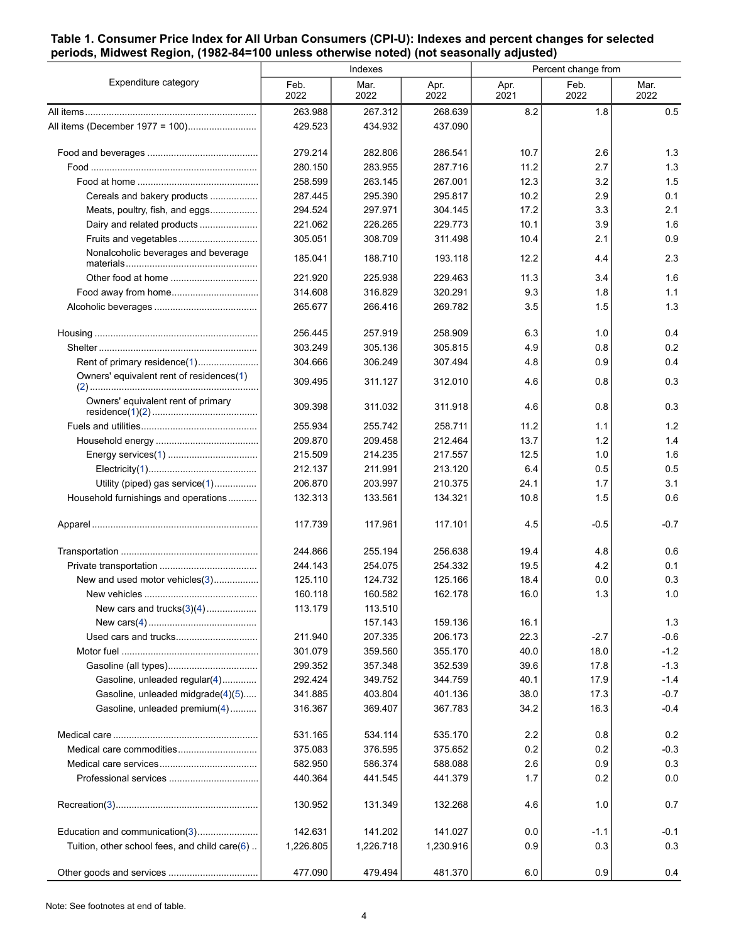#### <span id="page-3-0"></span>**Table 1. Consumer Price Index for All Urban Consumers (CPI-U): Indexes and percent changes for selected periods, Midwest Region, (1982-84=100 unless otherwise noted) (not seasonally adjusted)**

|                                               |              | Indexes      |              | Percent change from |              |              |  |
|-----------------------------------------------|--------------|--------------|--------------|---------------------|--------------|--------------|--|
| Expenditure category                          | Feb.<br>2022 | Mar.<br>2022 | Apr.<br>2022 | Apr.<br>2021        | Feb.<br>2022 | Mar.<br>2022 |  |
|                                               | 263.988      | 267.312      | 268.639      | 8.2                 | 1.8          | 0.5          |  |
|                                               | 429.523      | 434.932      | 437.090      |                     |              |              |  |
|                                               | 279.214      | 282.806      | 286.541      | 10.7                | 2.6          | 1.3          |  |
|                                               | 280.150      | 283.955      | 287.716      | 11.2                | 2.7          | 1.3          |  |
|                                               | 258.599      | 263.145      | 267.001      | 12.3                | 3.2          | 1.5          |  |
| Cereals and bakery products                   | 287.445      | 295.390      | 295.817      | 10.2                | 2.9          | 0.1          |  |
| Meats, poultry, fish, and eggs                | 294.524      | 297.971      | 304.145      | 17.2                | 3.3          | 2.1          |  |
| Dairy and related products                    | 221.062      | 226.265      | 229.773      | 10.1                | 3.9          | 1.6          |  |
| Fruits and vegetables                         | 305.051      | 308.709      | 311.498      | 10.4                | 2.1          | 0.9          |  |
| Nonalcoholic beverages and beverage           | 185.041      | 188.710      | 193.118      | 12.2                | 4.4          | 2.3          |  |
|                                               | 221.920      | 225.938      | 229.463      | 11.3                | 3.4          | 1.6          |  |
|                                               | 314.608      | 316.829      | 320.291      | 9.3                 | 1.8          | 1.1          |  |
|                                               | 265.677      | 266.416      | 269.782      | 3.5                 | 1.5          | 1.3          |  |
|                                               | 256.445      | 257.919      | 258.909      | 6.3                 | 1.0          | 0.4          |  |
|                                               | 303.249      | 305.136      | 305.815      | 4.9                 | 0.8          | 0.2          |  |
| Rent of primary residence(1)                  | 304.666      | 306.249      | 307.494      | 4.8                 | 0.9          | 0.4          |  |
| Owners' equivalent rent of residences(1)      | 309.495      | 311.127      | 312.010      | 4.6                 | 0.8          | 0.3          |  |
| Owners' equivalent rent of primary            | 309.398      | 311.032      | 311.918      | 4.6                 | 0.8          | 0.3          |  |
|                                               | 255.934      | 255.742      | 258.711      | 11.2                | 1.1          | 1.2          |  |
|                                               | 209.870      | 209.458      | 212.464      | 13.7                | 1.2          | 1.4          |  |
|                                               | 215.509      | 214.235      | 217.557      | 12.5                | 1.0          | 1.6          |  |
|                                               | 212.137      | 211.991      | 213.120      | 6.4                 | 0.5          | 0.5          |  |
| Utility (piped) gas service(1)                | 206.870      | 203.997      | 210.375      | 24.1                | 1.7          | 3.1          |  |
| Household furnishings and operations          | 132.313      | 133.561      | 134.321      | 10.8                | 1.5          | 0.6          |  |
|                                               | 117.739      | 117.961      | 117.101      | 4.5                 | $-0.5$       | $-0.7$       |  |
|                                               | 244.866      | 255.194      | 256.638      | 19.4                | 4.8          | 0.6          |  |
|                                               | 244.143      | 254.075      | 254.332      | 19.5                | 4.2          | 0.1          |  |
| New and used motor vehicles(3)                | 125.110      | 124.732      | 125.166      | 18.4                | 0.0          | 0.3          |  |
|                                               | 160.118      | 160.582      | 162.178      | 16.0                | 1.3          | 1.0          |  |
| New cars and trucks $(3)(4)$                  | 113.179      | 113.510      |              |                     |              |              |  |
|                                               |              | 157.143      | 159.136      | 16.1                |              | 1.3          |  |
|                                               | 211.940      | 207.335      | 206.173      | 22.3                | $-2.7$       | $-0.6$       |  |
|                                               | 301.079      | 359.560      | 355.170      | 40.0                | 18.0         | $-1.2$       |  |
|                                               | 299.352      | 357.348      | 352.539      | 39.6                | 17.8         | $-1.3$       |  |
| Gasoline, unleaded regular(4)                 | 292.424      | 349.752      | 344.759      | 40.1                | 17.9         | $-1.4$       |  |
| Gasoline, unleaded midgrade(4)(5)             | 341.885      | 403.804      | 401.136      | 38.0                | 17.3         | $-0.7$       |  |
| Gasoline, unleaded premium(4)                 | 316.367      | 369.407      | 367.783      | 34.2                | 16.3         | $-0.4$       |  |
|                                               | 531.165      | 534.114      | 535.170      | 2.2                 | 0.8          | 0.2          |  |
|                                               | 375.083      | 376.595      | 375.652      | 0.2                 | 0.2          | $-0.3$       |  |
|                                               | 582.950      | 586.374      | 588.088      | 2.6                 | 0.9          | 0.3          |  |
|                                               | 440.364      | 441.545      | 441.379      | 1.7                 | 0.2          | 0.0          |  |
|                                               | 130.952      | 131.349      | 132.268      | 4.6                 | 1.0          | 0.7          |  |
| Education and communication(3)                | 142.631      | 141.202      | 141.027      | 0.0                 | $-1.1$       | $-0.1$       |  |
| Tuition, other school fees, and child care(6) | 1,226.805    | 1,226.718    | 1,230.916    | 0.9                 | 0.3          | 0.3          |  |
|                                               | 477.090      | 479.494      | 481.370      | 6.0                 | 0.9          | 0.4          |  |